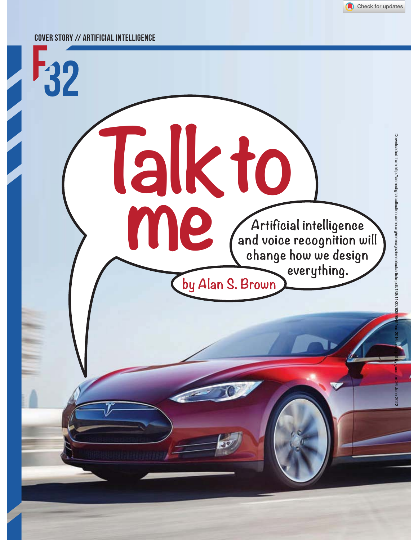

#### COVER STORY // ARTIFICIAL INTELLIGENCE

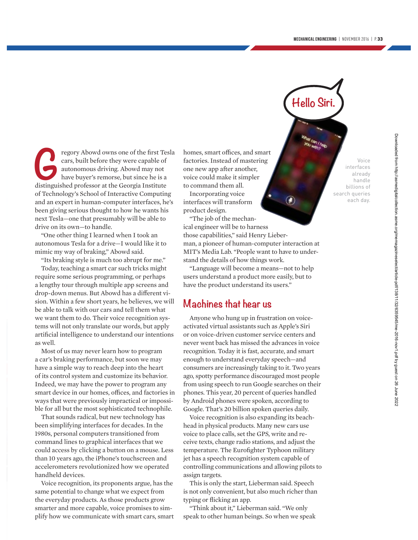**Hello Siri.**

regory Abowd owns one of the first Tesla<br>cars, built before they were capable of<br>autonomous driving. Abowd may not<br>have buyer's remorse, but since he is a<br>distinguished professor at the Georgia Institute cars, built before they were capable of autonomous driving. Abowd may not have buyer's remorse, but since he is a distinguished professor at the Georgia Institute of Technology's School of Interactive Computing and an expert in human-computer interfaces, he's been giving serious thought to how he wants his next Tesla—one that presumably will be able to drive on its own—to handle.

"One other thing I learned when I took an autonomous Tesla for a drive—I would like it to mimic my way of braking," Abowd said.

"Its braking style is much too abrupt for me."

Today, teaching a smart car such tricks might require some serious programming, or perhaps a lengthy tour through multiple app screens and drop-down menus. But Abowd has a different vision. Within a few short years, he believes, we will be able to talk with our cars and tell them what we want them to do. Their voice recognition systems will not only translate our words, but apply artificial intelligence to understand our intentions as well.

Most of us may never learn how to program a car's braking performance, but soon we may have a simple way to reach deep into the heart of its control system and customize its behavior. Indeed, we may have the power to program any smart device in our homes, offices, and factories in ways that were previously impractical or impossible for all but the most sophisticated technophile.

That sounds radical, but new technology has been simplifying interfaces for decades. In the 1980s, personal computers transitioned from command lines to graphical interfaces that we could access by clicking a button on a mouse. Less than 10 years ago, the iPhone's touchscreen and accelerometers revolutionized how we operated handheld devices.

Voice recognition, its proponents argue, has the same potential to change what we expect from the everyday products. As those products grow smarter and more capable, voice promises to simplify how we communicate with smart cars, smart homes, smart offices, and smart factories. Instead of mastering one new app after another, voice could make it simpler to command them all.

Incorporating voice interfaces will transform product design.

"The job of the mechanical engineer will be to harness those capabilities," said Henry Lieberman, a pioneer of human-computer interaction at MIT's Media Lab. "People want to have to understand the details of how things work.

"Language will become a means—not to help users understand a product more easily, but to have the product understand its users."

# **Machines that hear us**

Anyone who hung up in frustration on voiceactivated virtual assistants such as Apple's Siri or on voice-driven customer service centers and never went back has missed the advances in voice recognition. Today it is fast, accurate, and smart enough to understand everyday speech—and consumers are increasingly taking to it. Two years ago, spotty performance discouraged most people from using speech to run Google searches on their phones. This year, 20 percent of queries handled by Android phones were spoken, according to Google. That's 20 billion spoken queries daily.

Voice recognition is also expanding its beachhead in physical products. Many new cars use voice to place calls, set the GPS, write and receive texts, change radio stations, and adjust the temperature. The Eurofighter Typhoon military jet has a speech recognition system capable of controlling communications and allowing pilots to assign targets.

This is only the start, Lieberman said. Speech is not only convenient, but also much richer than typing or flicking an app.

"Think about it," Lieberman said. "We only speak to other human beings. So when we speak

Voice interfaces already handle billions of search queries each day.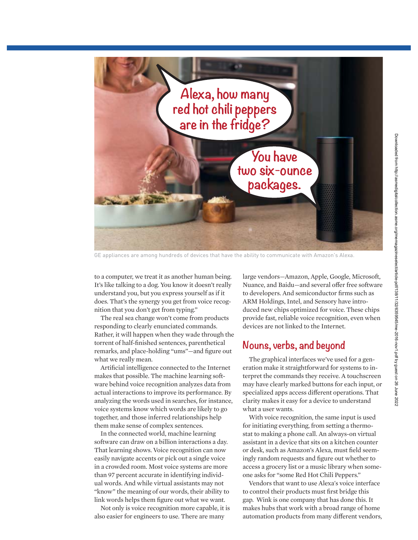

GE appliances are among hundreds of devices that have the ability to communicate with Amazon's Alexa.

to a computer, we treat it as another human being. It's like talking to a dog. You know it doesn't really understand you, but you express yourself as if it does. That's the synergy you get from voice recognition that you don't get from typing."

The real sea change won't come from products responding to clearly enunciated commands. Rather, it will happen when they wade through the torrent of half-finished sentences, parenthetical remarks, and place-holding "ums"—and figure out what we really mean.

Artificial intelligence connected to the Internet makes that possible. The machine learning software behind voice recognition analyzes data from actual interactions to improve its performance. By analyzing the words used in searches, for instance, voice systems know which words are likely to go together, and those inferred relationships help them make sense of complex sentences.

In the connected world, machine learning software can draw on a billion interactions a day. That learning shows. Voice recognition can now easily navigate accents or pick out a single voice in a crowded room. Most voice systems are more than 97 percent accurate in identifying individual words. And while virtual assistants may not "know" the meaning of our words, their ability to link words helps them figure out what we want.

Not only is voice recognition more capable, it is also easier for engineers to use. There are many

large vendors—Amazon, Apple, Google, Microsoft, Nuance, and Baidu—and several offer free software to developers. And semiconductor firms such as ARM Holdings, Intel, and Sensory have introduced new chips optimized for voice. These chips provide fast, reliable voice recognition, even when devices are not linked to the Internet.

### **Nouns, verbs, and beyond**

The graphical interfaces we've used for a generation make it straightforward for systems to interpret the commands they receive. A touchscreen may have clearly marked buttons for each input, or specialized apps access different operations. That clarity makes it easy for a device to understand what a user wants.

With voice recognition, the same input is used for initiating everything, from setting a thermostat to making a phone call. An always-on virtual assistant in a device that sits on a kitchen counter or desk, such as Amazon's Alexa, must field seemingly random requests and figure out whether to access a grocery list or a music library when someone asks for "some Red Hot Chili Peppers."

Vendors that want to use Alexa's voice interface to control their products must first bridge this gap. Wink is one company that has done this. It makes hubs that work with a broad range of home automation products from many different vendors,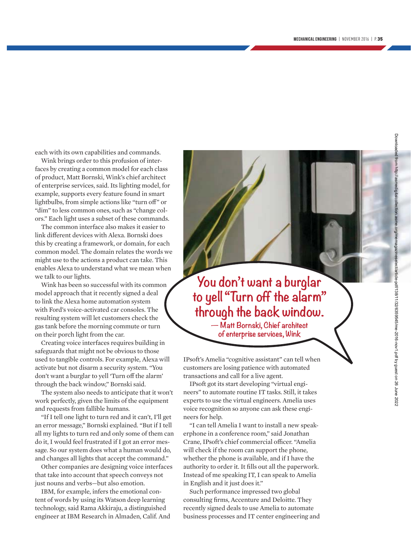each with its own capabilities and commands.

Wink brings order to this profusion of interfaces by creating a common model for each class of product, Matt Bornski, Wink's chief architect of enterprise services, said. Its lighting model, for example, supports every feature found in smart lightbulbs, from simple actions like "turn off" or "dim" to less common ones, such as "change colors." Each light uses a subset of these commands.

The common interface also makes it easier to link different devices with Alexa. Bornski does this by creating a framework, or domain, for each common model. The domain relates the words we might use to the actions a product can take. This enables Alexa to understand what we mean when we talk to our lights.

Wink has been so successful with its common model approach that it recently signed a deal to link the Alexa home automation system with Ford's voice-activated car consoles. The resulting system will let customers check the gas tank before the morning commute or turn on their porch light from the car.

Creating voice interfaces requires building in safeguards that might not be obvious to those used to tangible controls. For example, Alexa will activate but not disarm a security system. "You don't want a burglar to yell 'Turn off the alarm' through the back window," Bornski said.

The system also needs to anticipate that it won't work perfectly, given the limits of the equipment and requests from fallible humans.

"If I tell one light to turn red and it can't, I'll get an error message," Bornski explained. "But if I tell all my lights to turn red and only some of them can do it, I would feel frustrated if I got an error message. So our system does what a human would do, and changes all lights that accept the command."

Other companies are designing voice interfaces that take into account that speech conveys not just nouns and verbs—but also emotion.

IBM, for example, infers the emotional content of words by using its Watson deep learning technology, said Rama Akkiraju, a distinguished engineer at IBM Research in Almaden, Calif. And

**You don't want a burglar to yell "Turn off the alarm" through the back window.**

**— Matt Bornski, Chief architect of enterprise services, Wink**

IPsoft's Amelia "cognitive assistant" can tell when customers are losing patience with automated transactions and call for a live agent.

IPsoft got its start developing "virtual engineers" to automate routine IT tasks. Still, it takes experts to use the virtual engineers. Amelia uses voice recognition so anyone can ask these engineers for help.

"I can tell Amelia I want to install a new speakerphone in a conference room," said Jonathan Crane, IPsoft's chief commercial officer. "Amelia will check if the room can support the phone, whether the phone is available, and if I have the authority to order it. It fills out all the paperwork. Instead of me speaking IT, I can speak to Amelia in English and it just does it."

Such performance impressed two global consulting firms, Accenture and Deloitte. They recently signed deals to use Amelia to automate business processes and IT center engineering and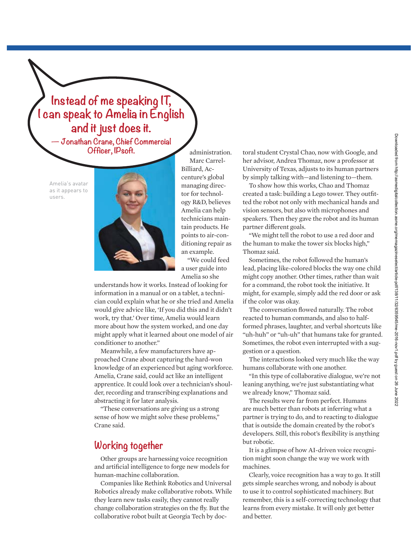

Amelia's avatar as it appears to users.



administration. Marc Carrel-Billiard, Accenture's global managing director for technology R&D, believes Amelia can help technicians maintain products. He points to air-conditioning repair as an example.

"We could feed a user guide into Amelia so she

understands how it works. Instead of looking for information in a manual or on a tablet, a technician could explain what he or she tried and Amelia would give advice like, 'If you did this and it didn't work, try that.' Over time, Amelia would learn more about how the system worked, and one day might apply what it learned about one model of air conditioner to another."

Meanwhile, a few manufacturers have approached Crane about capturing the hard-won knowledge of an experienced but aging workforce. Amelia, Crane said, could act like an intelligent apprentice. It could look over a technician's shoulder, recording and transcribing explanations and abstracting it for later analysis.

"These conversations are giving us a strong sense of how we might solve these problems," Crane said.

# **Working together**

Other groups are harnessing voice recognition and artificial intelligence to forge new models for human-machine collaboration.

Companies like Rethink Robotics and Universal Robotics already make collaborative robots. While they learn new tasks easily, they cannot really change collaboration strategies on the fly. But the collaborative robot built at Georgia Tech by doctoral student Crystal Chao, now with Google, and her advisor, Andrea Thomaz, now a professor at University of Texas, adjusts to its human partners by simply talking with—and listening to—them.

To show how this works, Chao and Thomaz created a task: building a Lego tower. They outfitted the robot not only with mechanical hands and vision sensors, but also with microphones and speakers. Then they gave the robot and its human partner different goals.

"We might tell the robot to use a red door and the human to make the tower six blocks high," Thomaz said.

Sometimes, the robot followed the human's lead, placing like-colored blocks the way one child might copy another. Other times, rather than wait for a command, the robot took the initiative. It might, for example, simply add the red door or ask if the color was okay.

The conversation flowed naturally. The robot reacted to human commands, and also to halfformed phrases, laughter, and verbal shortcuts like "uh-huh" or "uh-uh" that humans take for granted. Sometimes, the robot even interrupted with a suggestion or a question.

The interactions looked very much like the way humans collaborate with one another.

"In this type of collaborative dialogue, we're not leaning anything, we're just substantiating what we already know," Thomaz said.

The results were far from perfect. Humans are much better than robots at inferring what a partner is trying to do, and to reacting to dialogue that is outside the domain created by the robot's developers. Still, this robot's flexibility is anything but robotic.

It is a glimpse of how AI-driven voice recognition might soon change the way we work with machines.

Clearly, voice recognition has a way to go. It still gets simple searches wrong, and nobody is about to use it to control sophisticated machinery. But remember, this is a self-correcting technology that learns from every mistake. It will only get better and better.